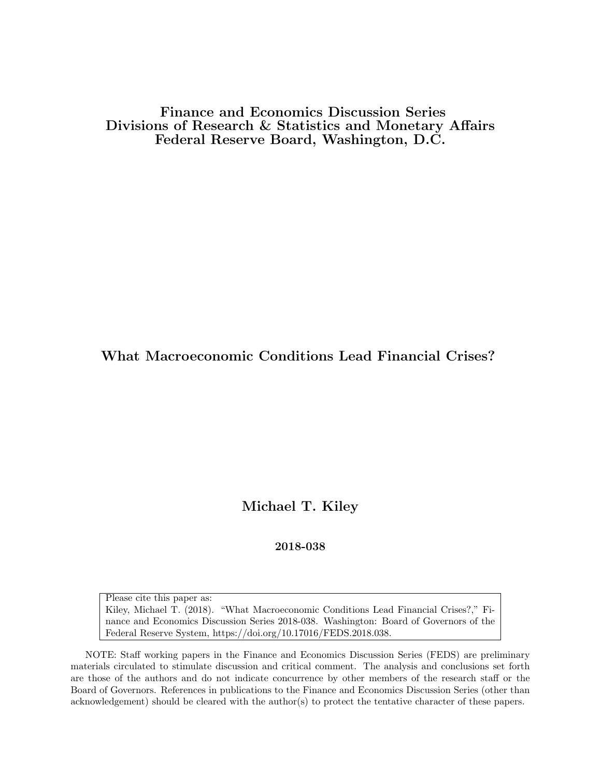Finance and Economics Discussion Series Divisions of Research & Statistics and Monetary Affairs Federal Reserve Board, Washington, D.C.

What Macroeconomic Conditions Lead Financial Crises?

Michael T. Kiley

2018-038

Please cite this paper as:

Kiley, Michael T. (2018). "What Macroeconomic Conditions Lead Financial Crises?," Finance and Economics Discussion Series 2018-038. Washington: Board of Governors of the Federal Reserve System, https://doi.org/10.17016/FEDS.2018.038.

NOTE: Staff working papers in the Finance and Economics Discussion Series (FEDS) are preliminary materials circulated to stimulate discussion and critical comment. The analysis and conclusions set forth are those of the authors and do not indicate concurrence by other members of the research staff or the Board of Governors. References in publications to the Finance and Economics Discussion Series (other than acknowledgement) should be cleared with the author(s) to protect the tentative character of these papers.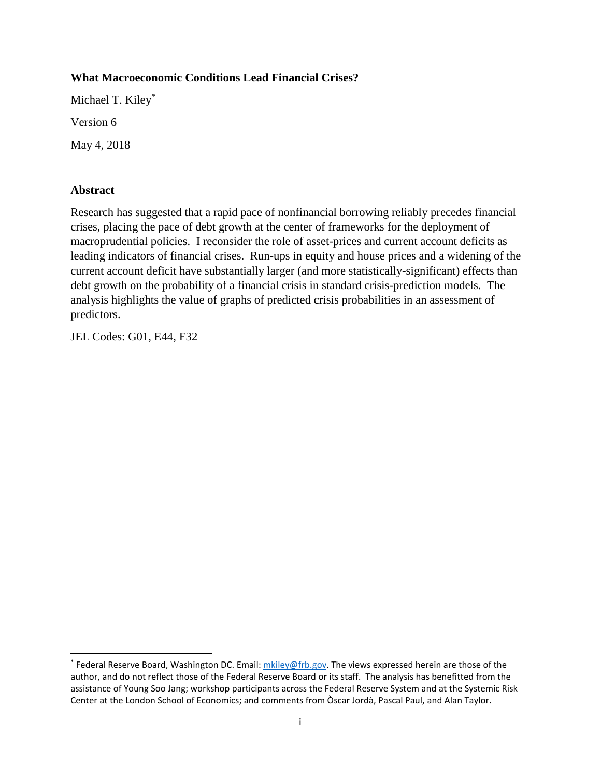## **What Macroeconomic Conditions Lead Financial Crises?**

Michael T. Kiley[\\*](#page-1-0)

Version 6

May 4, 2018

## **Abstract**

Research has suggested that a rapid pace of nonfinancial borrowing reliably precedes financial crises, placing the pace of debt growth at the center of frameworks for the deployment of macroprudential policies. I reconsider the role of asset-prices and current account deficits as leading indicators of financial crises. Run-ups in equity and house prices and a widening of the current account deficit have substantially larger (and more statistically-significant) effects than debt growth on the probability of a financial crisis in standard crisis-prediction models. The analysis highlights the value of graphs of predicted crisis probabilities in an assessment of predictors.

JEL Codes: G01, E44, F32

<span id="page-1-0"></span><sup>\*</sup> Federal Reserve Board, Washington DC. Email[: mkiley@frb.gov.](mailto:mkiley@frb.gov) The views expressed herein are those of the author, and do not reflect those of the Federal Reserve Board or its staff. The analysis has benefitted from the assistance of Young Soo Jang; workshop participants across the Federal Reserve System and at the Systemic Risk Center at the London School of Economics; and comments from Òscar Jordà, Pascal Paul, and Alan Taylor.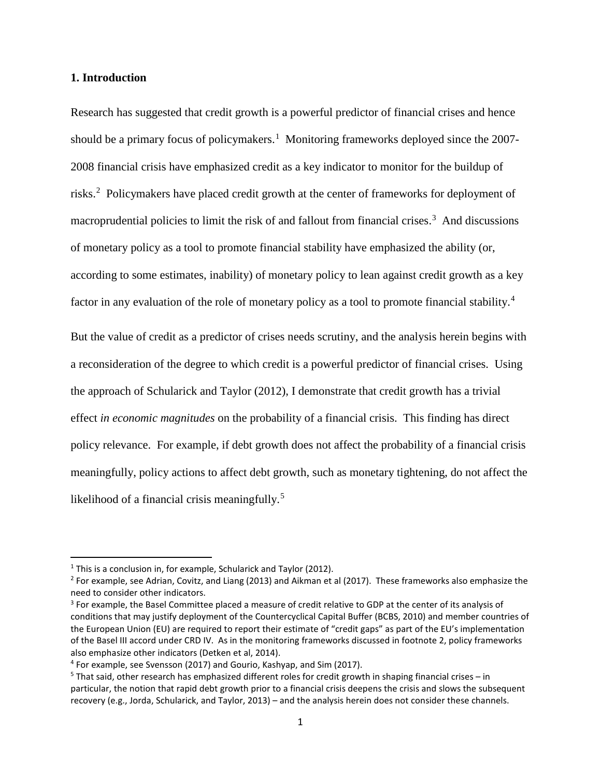#### **1. Introduction**

Research has suggested that credit growth is a powerful predictor of financial crises and hence should be a primary focus of policymakers.<sup>[1](#page-2-0)</sup> Monitoring frameworks deployed since the 2007-2008 financial crisis have emphasized credit as a key indicator to monitor for the buildup of risks.<sup>[2](#page-2-1)</sup> Policymakers have placed credit growth at the center of frameworks for deployment of macroprudential policies to limit the risk of and fallout from financial crises.<sup>[3](#page-2-2)</sup> And discussions of monetary policy as a tool to promote financial stability have emphasized the ability (or, according to some estimates, inability) of monetary policy to lean against credit growth as a key factor in any evaluation of the role of monetary policy as a tool to promote financial stability.<sup>[4](#page-2-3)</sup>

But the value of credit as a predictor of crises needs scrutiny, and the analysis herein begins with a reconsideration of the degree to which credit is a powerful predictor of financial crises. Using the approach of Schularick and Taylor (2012), I demonstrate that credit growth has a trivial effect *in economic magnitudes* on the probability of a financial crisis. This finding has direct policy relevance. For example, if debt growth does not affect the probability of a financial crisis meaningfully, policy actions to affect debt growth, such as monetary tightening, do not affect the likelihood of a financial crisis meaningfully.<sup>[5](#page-2-4)</sup>

<span id="page-2-0"></span> $1$  This is a conclusion in, for example, Schularick and Taylor (2012).

<span id="page-2-1"></span> $<sup>2</sup>$  For example, see Adrian, Covitz, and Liang (2013) and Aikman et al (2017). These frameworks also emphasize the</sup> need to consider other indicators.

<span id="page-2-2"></span><sup>&</sup>lt;sup>3</sup> For example, the Basel Committee placed a measure of credit relative to GDP at the center of its analysis of conditions that may justify deployment of the Countercyclical Capital Buffer (BCBS, 2010) and member countries of the European Union (EU) are required to report their estimate of "credit gaps" as part of the EU's implementation of the Basel III accord under CRD IV. As in the monitoring frameworks discussed in footnote 2, policy frameworks also emphasize other indicators (Detken et al, 2014).

<span id="page-2-3"></span><sup>4</sup> For example, see Svensson (2017) and Gourio, Kashyap, and Sim (2017).

<span id="page-2-4"></span><sup>5</sup> That said, other research has emphasized different roles for credit growth in shaping financial crises – in particular, the notion that rapid debt growth prior to a financial crisis deepens the crisis and slows the subsequent recovery (e.g., Jorda, Schularick, and Taylor, 2013) – and the analysis herein does not consider these channels.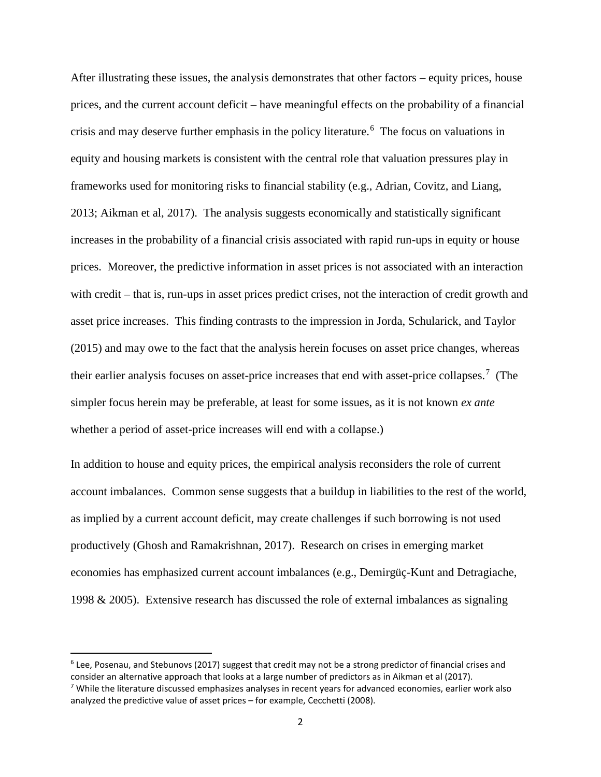After illustrating these issues, the analysis demonstrates that other factors – equity prices, house prices, and the current account deficit – have meaningful effects on the probability of a financial crisis and may deserve further emphasis in the policy literature.<sup>[6](#page-3-0)</sup> The focus on valuations in equity and housing markets is consistent with the central role that valuation pressures play in frameworks used for monitoring risks to financial stability (e.g., Adrian, Covitz, and Liang, 2013; Aikman et al, 2017). The analysis suggests economically and statistically significant increases in the probability of a financial crisis associated with rapid run-ups in equity or house prices. Moreover, the predictive information in asset prices is not associated with an interaction with credit – that is, run-ups in asset prices predict crises, not the interaction of credit growth and asset price increases. This finding contrasts to the impression in Jorda, Schularick, and Taylor (2015) and may owe to the fact that the analysis herein focuses on asset price changes, whereas their earlier analysis focuses on asset-price increases that end with asset-price collapses.<sup>[7](#page-3-1)</sup> (The simpler focus herein may be preferable, at least for some issues, as it is not known *ex ante* whether a period of asset-price increases will end with a collapse.)

In addition to house and equity prices, the empirical analysis reconsiders the role of current account imbalances. Common sense suggests that a buildup in liabilities to the rest of the world, as implied by a current account deficit, may create challenges if such borrowing is not used productively (Ghosh and Ramakrishnan, 2017). Research on crises in emerging market economies has emphasized current account imbalances (e.g., Demirgüç-Kunt and Detragiache, 1998 & 2005). Extensive research has discussed the role of external imbalances as signaling

<span id="page-3-0"></span> <sup>6</sup> Lee, Posenau, and Stebunovs (2017) suggest that credit may not be a strong predictor of financial crises and consider an alternative approach that looks at a large number of predictors as in Aikman et al (2017).

<span id="page-3-1"></span><sup>&</sup>lt;sup>7</sup> While the literature discussed emphasizes analyses in recent years for advanced economies, earlier work also analyzed the predictive value of asset prices – for example, Cecchetti (2008).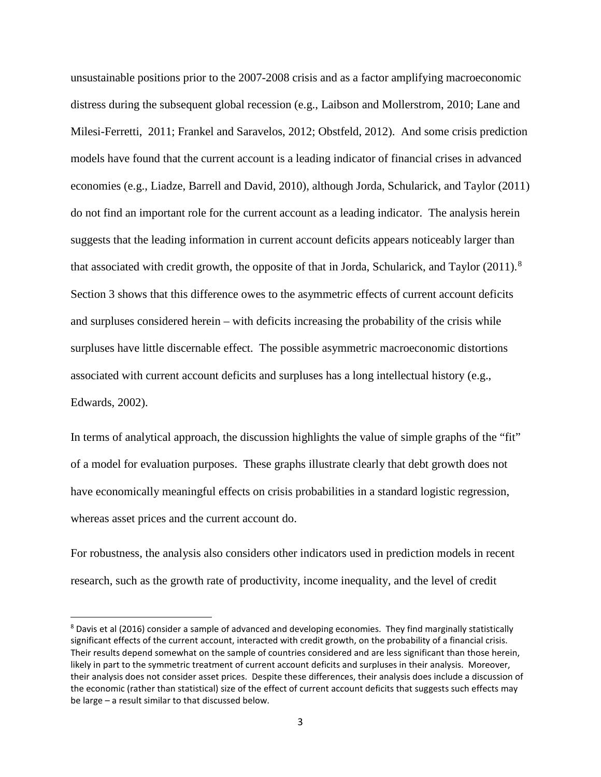unsustainable positions prior to the 2007-2008 crisis and as a factor amplifying macroeconomic distress during the subsequent global recession (e.g., Laibson and Mollerstrom, 2010; Lane and Milesi-Ferretti, 2011; Frankel and Saravelos, 2012; Obstfeld, 2012). And some crisis prediction models have found that the current account is a leading indicator of financial crises in advanced economies (e.g., Liadze, Barrell and David, 2010), although Jorda, Schularick, and Taylor (2011) do not find an important role for the current account as a leading indicator. The analysis herein suggests that the leading information in current account deficits appears noticeably larger than that associated with credit growth, the opposite of that in Jorda, Schularick, and Taylor (2011).<sup>[8](#page-4-0)</sup> Section 3 shows that this difference owes to the asymmetric effects of current account deficits and surpluses considered herein – with deficits increasing the probability of the crisis while surpluses have little discernable effect. The possible asymmetric macroeconomic distortions associated with current account deficits and surpluses has a long intellectual history (e.g., Edwards, 2002).

In terms of analytical approach, the discussion highlights the value of simple graphs of the "fit" of a model for evaluation purposes. These graphs illustrate clearly that debt growth does not have economically meaningful effects on crisis probabilities in a standard logistic regression, whereas asset prices and the current account do.

For robustness, the analysis also considers other indicators used in prediction models in recent research, such as the growth rate of productivity, income inequality, and the level of credit

<span id="page-4-0"></span><sup>&</sup>lt;sup>8</sup> Davis et al (2016) consider a sample of advanced and developing economies. They find marginally statistically significant effects of the current account, interacted with credit growth, on the probability of a financial crisis. Their results depend somewhat on the sample of countries considered and are less significant than those herein, likely in part to the symmetric treatment of current account deficits and surpluses in their analysis. Moreover, their analysis does not consider asset prices. Despite these differences, their analysis does include a discussion of the economic (rather than statistical) size of the effect of current account deficits that suggests such effects may be large – a result similar to that discussed below.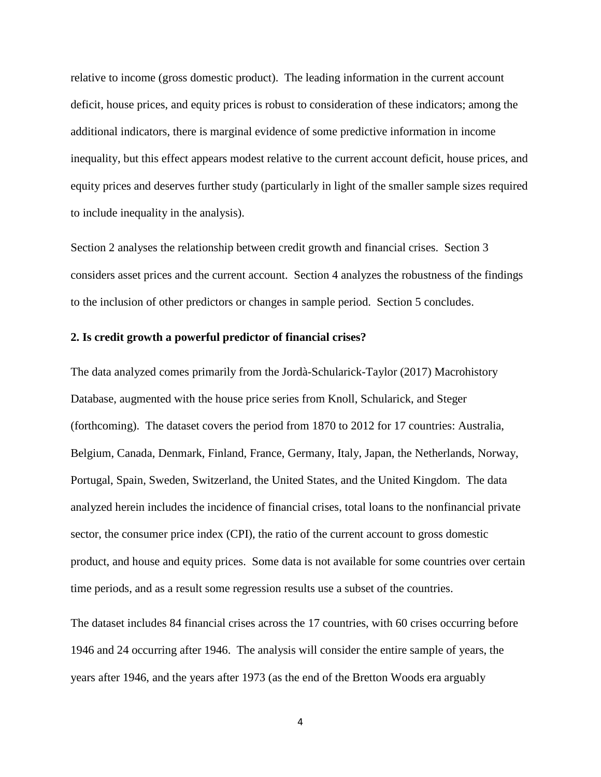relative to income (gross domestic product). The leading information in the current account deficit, house prices, and equity prices is robust to consideration of these indicators; among the additional indicators, there is marginal evidence of some predictive information in income inequality, but this effect appears modest relative to the current account deficit, house prices, and equity prices and deserves further study (particularly in light of the smaller sample sizes required to include inequality in the analysis).

Section 2 analyses the relationship between credit growth and financial crises. Section 3 considers asset prices and the current account. Section 4 analyzes the robustness of the findings to the inclusion of other predictors or changes in sample period. Section 5 concludes.

#### **2. Is credit growth a powerful predictor of financial crises?**

The data analyzed comes primarily from the Jordà-Schularick-Taylor (2017) Macrohistory Database, augmented with the house price series from Knoll, Schularick, and Steger (forthcoming). The dataset covers the period from 1870 to 2012 for 17 countries: Australia, Belgium, Canada, Denmark, Finland, France, Germany, Italy, Japan, the Netherlands, Norway, Portugal, Spain, Sweden, Switzerland, the United States, and the United Kingdom. The data analyzed herein includes the incidence of financial crises, total loans to the nonfinancial private sector, the consumer price index (CPI), the ratio of the current account to gross domestic product, and house and equity prices. Some data is not available for some countries over certain time periods, and as a result some regression results use a subset of the countries.

The dataset includes 84 financial crises across the 17 countries, with 60 crises occurring before 1946 and 24 occurring after 1946. The analysis will consider the entire sample of years, the years after 1946, and the years after 1973 (as the end of the Bretton Woods era arguably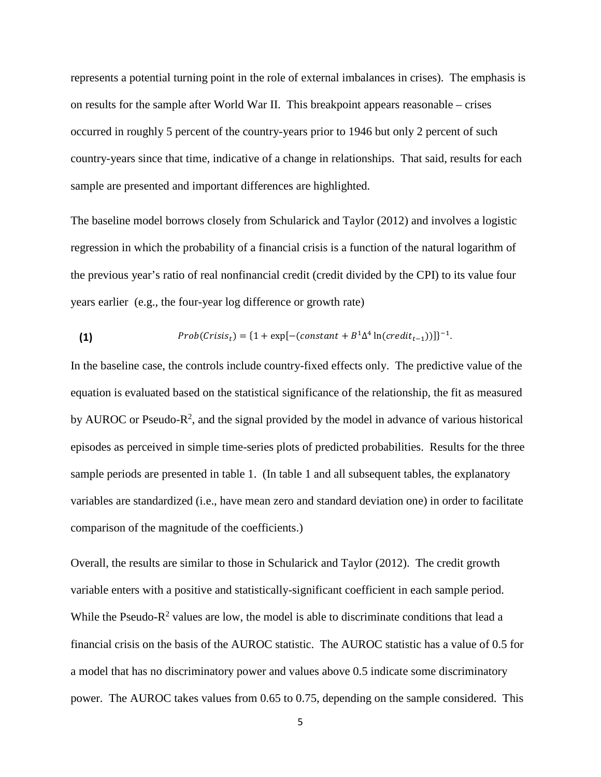represents a potential turning point in the role of external imbalances in crises). The emphasis is on results for the sample after World War II. This breakpoint appears reasonable – crises occurred in roughly 5 percent of the country-years prior to 1946 but only 2 percent of such country-years since that time, indicative of a change in relationships. That said, results for each sample are presented and important differences are highlighted.

The baseline model borrows closely from Schularick and Taylor (2012) and involves a logistic regression in which the probability of a financial crisis is a function of the natural logarithm of the previous year's ratio of real nonfinancial credit (credit divided by the CPI) to its value four years earlier (e.g., the four-year log difference or growth rate)

(1) 
$$
Prob(Crisis_t) = \{1 + \exp[-(constant + B^1 \Delta^4 \ln(credit_{t-1}))]\}^{-1}.
$$

In the baseline case, the controls include country-fixed effects only. The predictive value of the equation is evaluated based on the statistical significance of the relationship, the fit as measured by AUROC or Pseudo- $R^2$ , and the signal provided by the model in advance of various historical episodes as perceived in simple time-series plots of predicted probabilities. Results for the three sample periods are presented in table 1. (In table 1 and all subsequent tables, the explanatory variables are standardized (i.e., have mean zero and standard deviation one) in order to facilitate comparison of the magnitude of the coefficients.)

Overall, the results are similar to those in Schularick and Taylor (2012). The credit growth variable enters with a positive and statistically-significant coefficient in each sample period. While the Pseudo- $R^2$  values are low, the model is able to discriminate conditions that lead a financial crisis on the basis of the AUROC statistic. The AUROC statistic has a value of 0.5 for a model that has no discriminatory power and values above 0.5 indicate some discriminatory power. The AUROC takes values from 0.65 to 0.75, depending on the sample considered. This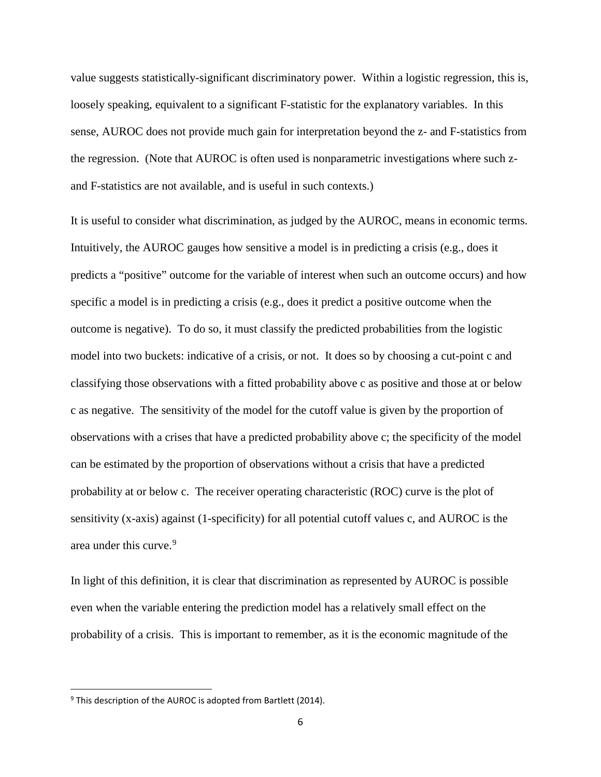value suggests statistically-significant discriminatory power. Within a logistic regression, this is, loosely speaking, equivalent to a significant F-statistic for the explanatory variables. In this sense, AUROC does not provide much gain for interpretation beyond the z- and F-statistics from the regression. (Note that AUROC is often used is nonparametric investigations where such zand F-statistics are not available, and is useful in such contexts.)

It is useful to consider what discrimination, as judged by the AUROC, means in economic terms. Intuitively, the AUROC gauges how sensitive a model is in predicting a crisis (e.g., does it predicts a "positive" outcome for the variable of interest when such an outcome occurs) and how specific a model is in predicting a crisis (e.g., does it predict a positive outcome when the outcome is negative). To do so, it must classify the predicted probabilities from the logistic model into two buckets: indicative of a crisis, or not. It does so by choosing a cut-point c and classifying those observations with a fitted probability above c as positive and those at or below c as negative. The sensitivity of the model for the cutoff value is given by the proportion of observations with a crises that have a predicted probability above c; the specificity of the model can be estimated by the proportion of observations without a crisis that have a predicted probability at or below c. The receiver operating characteristic (ROC) curve is the plot of sensitivity (x-axis) against (1-specificity) for all potential cutoff values c, and AUROC is the area under this curve.<sup>[9](#page-7-0)</sup>

In light of this definition, it is clear that discrimination as represented by AUROC is possible even when the variable entering the prediction model has a relatively small effect on the probability of a crisis. This is important to remember, as it is the economic magnitude of the

<span id="page-7-0"></span> $9$  This description of the AUROC is adopted from Bartlett (2014).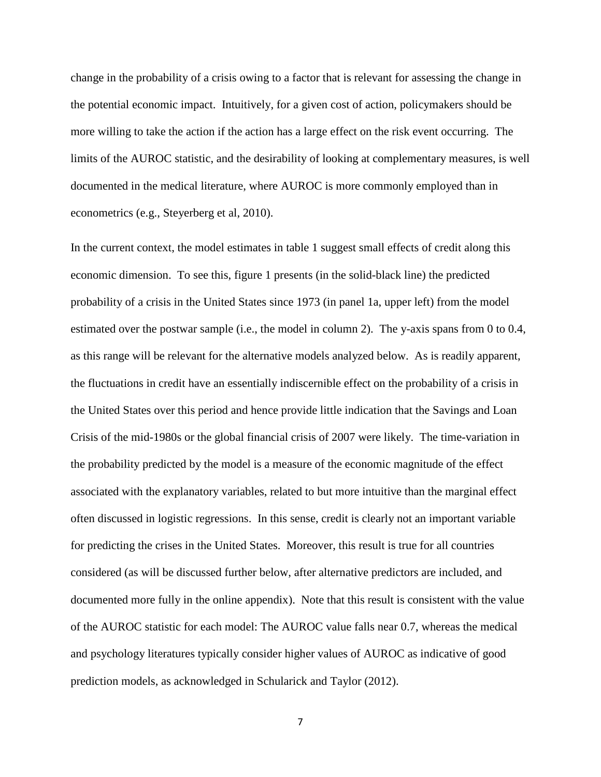change in the probability of a crisis owing to a factor that is relevant for assessing the change in the potential economic impact. Intuitively, for a given cost of action, policymakers should be more willing to take the action if the action has a large effect on the risk event occurring. The limits of the AUROC statistic, and the desirability of looking at complementary measures, is well documented in the medical literature, where AUROC is more commonly employed than in econometrics (e.g., Steyerberg et al, 2010).

In the current context, the model estimates in table 1 suggest small effects of credit along this economic dimension. To see this, figure 1 presents (in the solid-black line) the predicted probability of a crisis in the United States since 1973 (in panel 1a, upper left) from the model estimated over the postwar sample (i.e., the model in column 2). The y-axis spans from 0 to 0.4, as this range will be relevant for the alternative models analyzed below. As is readily apparent, the fluctuations in credit have an essentially indiscernible effect on the probability of a crisis in the United States over this period and hence provide little indication that the Savings and Loan Crisis of the mid-1980s or the global financial crisis of 2007 were likely. The time-variation in the probability predicted by the model is a measure of the economic magnitude of the effect associated with the explanatory variables, related to but more intuitive than the marginal effect often discussed in logistic regressions. In this sense, credit is clearly not an important variable for predicting the crises in the United States. Moreover, this result is true for all countries considered (as will be discussed further below, after alternative predictors are included, and documented more fully in the online appendix). Note that this result is consistent with the value of the AUROC statistic for each model: The AUROC value falls near 0.7, whereas the medical and psychology literatures typically consider higher values of AUROC as indicative of good prediction models, as acknowledged in Schularick and Taylor (2012).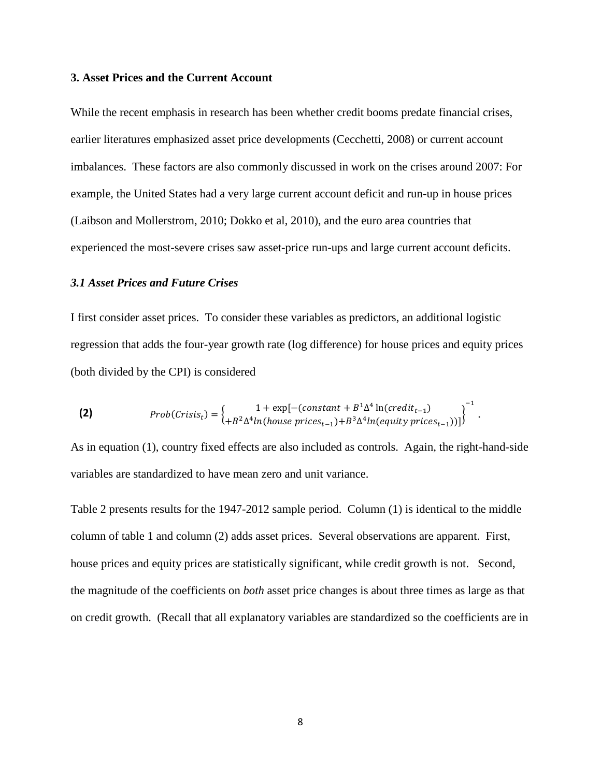#### **3. Asset Prices and the Current Account**

While the recent emphasis in research has been whether credit booms predate financial crises, earlier literatures emphasized asset price developments (Cecchetti, 2008) or current account imbalances. These factors are also commonly discussed in work on the crises around 2007: For example, the United States had a very large current account deficit and run-up in house prices (Laibson and Mollerstrom, 2010; Dokko et al, 2010), and the euro area countries that experienced the most-severe crises saw asset-price run-ups and large current account deficits.

#### *3.1 Asset Prices and Future Crises*

I first consider asset prices. To consider these variables as predictors, an additional logistic regression that adds the four-year growth rate (log difference) for house prices and equity prices (both divided by the CPI) is considered

(2) 
$$
Prob(Crisis_t) = \begin{cases} 1 + \exp[-(constant + B^1 \Delta^4 \ln(credit_{t-1})) \ + B^2 \Delta^4 \ln(house prices_{t-1}) + B^3 \Delta^4 \ln(equity prices_{t-1})) \end{cases}^{-1}.
$$

As in equation (1), country fixed effects are also included as controls. Again, the right-hand-side variables are standardized to have mean zero and unit variance.

Table 2 presents results for the 1947-2012 sample period. Column (1) is identical to the middle column of table 1 and column (2) adds asset prices. Several observations are apparent. First, house prices and equity prices are statistically significant, while credit growth is not. Second, the magnitude of the coefficients on *both* asset price changes is about three times as large as that on credit growth. (Recall that all explanatory variables are standardized so the coefficients are in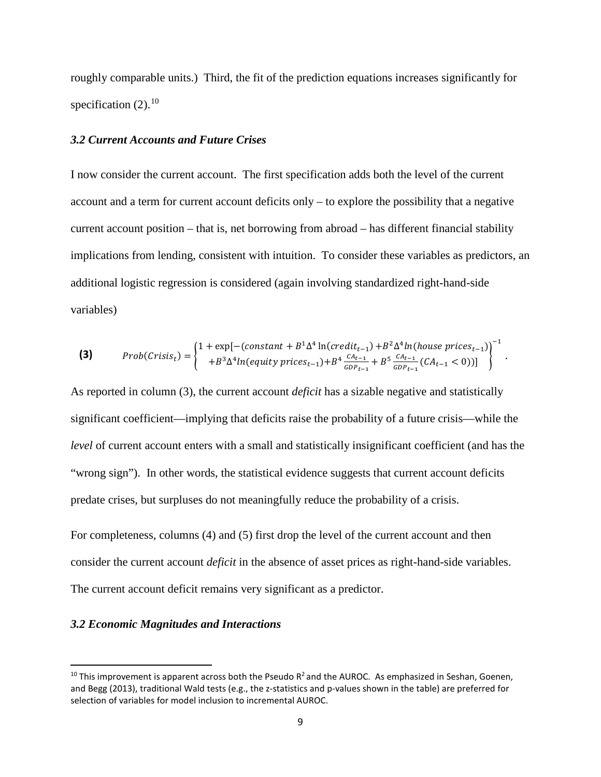roughly comparable units.) Third, the fit of the prediction equations increases significantly for specification (2).<sup>[10](#page-10-0)</sup>

#### *3.2 Current Accounts and Future Crises*

I now consider the current account. The first specification adds both the level of the current account and a term for current account deficits only – to explore the possibility that a negative current account position – that is, net borrowing from abroad – has different financial stability implications from lending, consistent with intuition. To consider these variables as predictors, an additional logistic regression is considered (again involving standardized right-hand-side variables)

$$
\textbf{(3)} \qquad \text{Prob}(Crisis_t) = \begin{cases} 1 + \exp[-(\text{constant} + B^1 \Delta^4 \ln(\text{credit}_{t-1}) + B^2 \Delta^4 \ln(\text{house prices}_{t-1}))] \\ + B^3 \Delta^4 \ln(\text{equity prices}_{t-1}) + B^4 \frac{CA_{t-1}}{GDP_{t-1}} + B^5 \frac{CA_{t-1}}{GDP_{t-1}} (CA_{t-1} < 0))] \end{cases}^{-1}
$$

.

As reported in column (3), the current account *deficit* has a sizable negative and statistically significant coefficient—implying that deficits raise the probability of a future crisis—while the *level* of current account enters with a small and statistically insignificant coefficient (and has the "wrong sign"). In other words, the statistical evidence suggests that current account deficits predate crises, but surpluses do not meaningfully reduce the probability of a crisis.

For completeness, columns (4) and (5) first drop the level of the current account and then consider the current account *deficit* in the absence of asset prices as right-hand-side variables. The current account deficit remains very significant as a predictor.

#### *3.2 Economic Magnitudes and Interactions*

<span id="page-10-0"></span> $10$  This improvement is apparent across both the Pseudo  $R^2$  and the AUROC. As emphasized in Seshan, Goenen, and Begg (2013), traditional Wald tests (e.g., the z-statistics and p-values shown in the table) are preferred for selection of variables for model inclusion to incremental AUROC.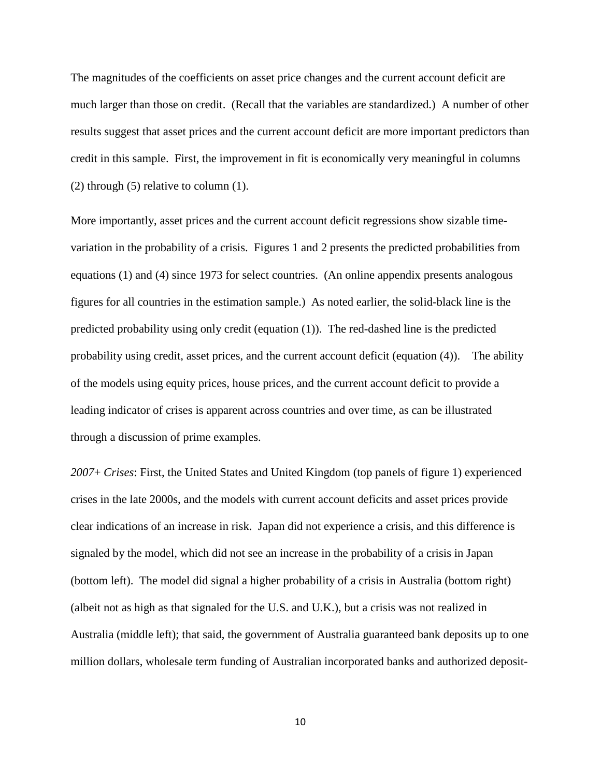The magnitudes of the coefficients on asset price changes and the current account deficit are much larger than those on credit. (Recall that the variables are standardized.) A number of other results suggest that asset prices and the current account deficit are more important predictors than credit in this sample. First, the improvement in fit is economically very meaningful in columns (2) through (5) relative to column (1).

More importantly, asset prices and the current account deficit regressions show sizable timevariation in the probability of a crisis. Figures 1 and 2 presents the predicted probabilities from equations (1) and (4) since 1973 for select countries. (An online appendix presents analogous figures for all countries in the estimation sample.) As noted earlier, the solid-black line is the predicted probability using only credit (equation (1)). The red-dashed line is the predicted probability using credit, asset prices, and the current account deficit (equation (4)). The ability of the models using equity prices, house prices, and the current account deficit to provide a leading indicator of crises is apparent across countries and over time, as can be illustrated through a discussion of prime examples.

*2007*+ *Crises*: First, the United States and United Kingdom (top panels of figure 1) experienced crises in the late 2000s, and the models with current account deficits and asset prices provide clear indications of an increase in risk. Japan did not experience a crisis, and this difference is signaled by the model, which did not see an increase in the probability of a crisis in Japan (bottom left). The model did signal a higher probability of a crisis in Australia (bottom right) (albeit not as high as that signaled for the U.S. and U.K.), but a crisis was not realized in Australia (middle left); that said, the government of Australia guaranteed bank deposits up to one million dollars, wholesale term funding of Australian incorporated banks and authorized deposit-

10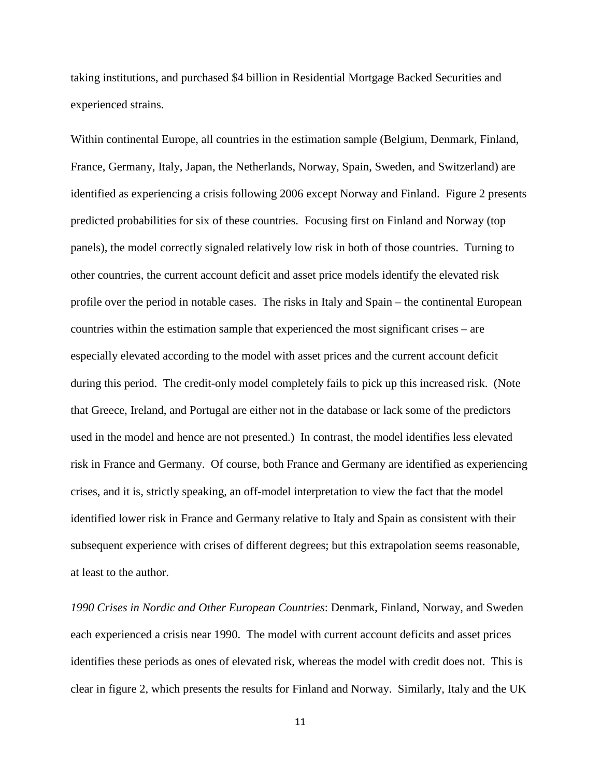taking institutions, and purchased \$4 billion in Residential Mortgage Backed Securities and experienced strains.

Within continental Europe, all countries in the estimation sample (Belgium, Denmark, Finland, France, Germany, Italy, Japan, the Netherlands, Norway, Spain, Sweden, and Switzerland) are identified as experiencing a crisis following 2006 except Norway and Finland. Figure 2 presents predicted probabilities for six of these countries. Focusing first on Finland and Norway (top panels), the model correctly signaled relatively low risk in both of those countries. Turning to other countries, the current account deficit and asset price models identify the elevated risk profile over the period in notable cases. The risks in Italy and Spain – the continental European countries within the estimation sample that experienced the most significant crises – are especially elevated according to the model with asset prices and the current account deficit during this period. The credit-only model completely fails to pick up this increased risk. (Note that Greece, Ireland, and Portugal are either not in the database or lack some of the predictors used in the model and hence are not presented.) In contrast, the model identifies less elevated risk in France and Germany. Of course, both France and Germany are identified as experiencing crises, and it is, strictly speaking, an off-model interpretation to view the fact that the model identified lower risk in France and Germany relative to Italy and Spain as consistent with their subsequent experience with crises of different degrees; but this extrapolation seems reasonable, at least to the author.

*1990 Crises in Nordic and Other European Countries*: Denmark, Finland, Norway, and Sweden each experienced a crisis near 1990. The model with current account deficits and asset prices identifies these periods as ones of elevated risk, whereas the model with credit does not. This is clear in figure 2, which presents the results for Finland and Norway. Similarly, Italy and the UK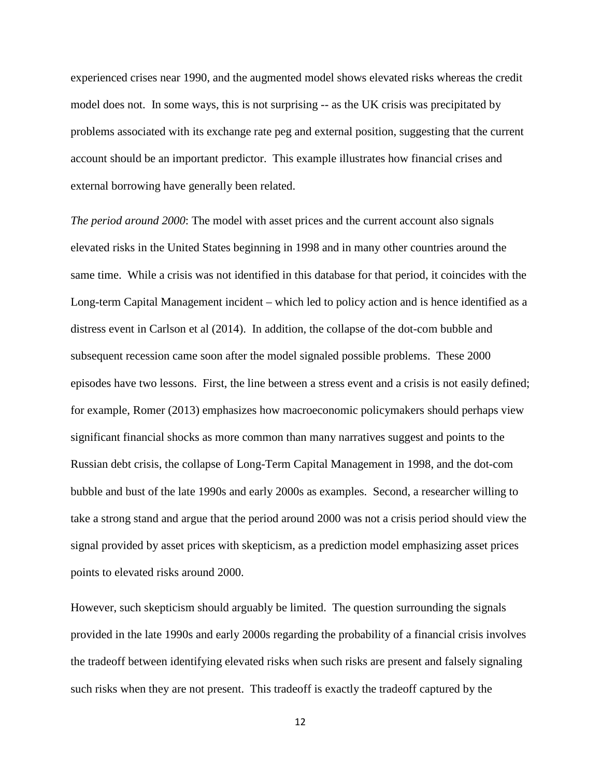experienced crises near 1990, and the augmented model shows elevated risks whereas the credit model does not. In some ways, this is not surprising -- as the UK crisis was precipitated by problems associated with its exchange rate peg and external position, suggesting that the current account should be an important predictor. This example illustrates how financial crises and external borrowing have generally been related.

*The period around 2000*: The model with asset prices and the current account also signals elevated risks in the United States beginning in 1998 and in many other countries around the same time. While a crisis was not identified in this database for that period, it coincides with the Long-term Capital Management incident – which led to policy action and is hence identified as a distress event in Carlson et al (2014). In addition, the collapse of the dot-com bubble and subsequent recession came soon after the model signaled possible problems. These 2000 episodes have two lessons. First, the line between a stress event and a crisis is not easily defined; for example, Romer (2013) emphasizes how macroeconomic policymakers should perhaps view significant financial shocks as more common than many narratives suggest and points to the Russian debt crisis, the collapse of Long-Term Capital Management in 1998, and the dot-com bubble and bust of the late 1990s and early 2000s as examples. Second, a researcher willing to take a strong stand and argue that the period around 2000 was not a crisis period should view the signal provided by asset prices with skepticism, as a prediction model emphasizing asset prices points to elevated risks around 2000.

However, such skepticism should arguably be limited. The question surrounding the signals provided in the late 1990s and early 2000s regarding the probability of a financial crisis involves the tradeoff between identifying elevated risks when such risks are present and falsely signaling such risks when they are not present. This tradeoff is exactly the tradeoff captured by the

12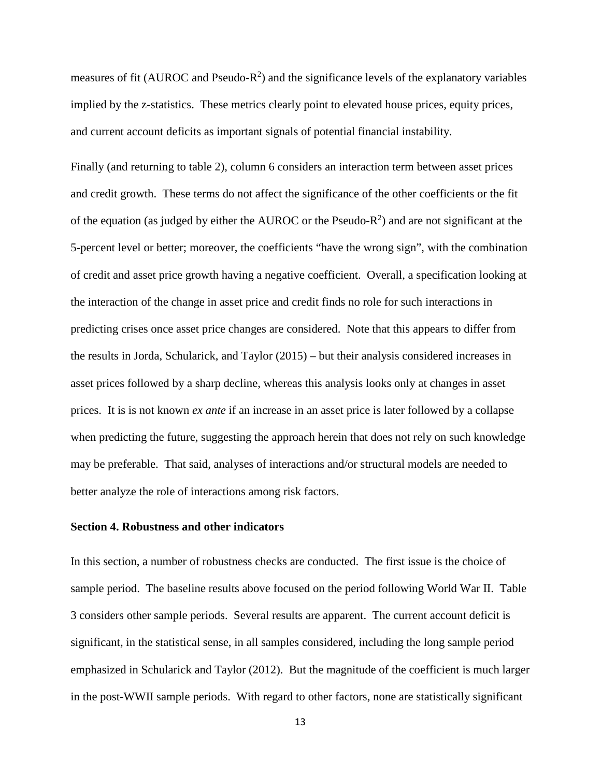measures of fit (AUROC and Pseudo- $R^2$ ) and the significance levels of the explanatory variables implied by the z-statistics. These metrics clearly point to elevated house prices, equity prices, and current account deficits as important signals of potential financial instability.

Finally (and returning to table 2), column 6 considers an interaction term between asset prices and credit growth. These terms do not affect the significance of the other coefficients or the fit of the equation (as judged by either the AUROC or the Pseudo- $R^2$ ) and are not significant at the 5-percent level or better; moreover, the coefficients "have the wrong sign", with the combination of credit and asset price growth having a negative coefficient. Overall, a specification looking at the interaction of the change in asset price and credit finds no role for such interactions in predicting crises once asset price changes are considered. Note that this appears to differ from the results in Jorda, Schularick, and Taylor (2015) – but their analysis considered increases in asset prices followed by a sharp decline, whereas this analysis looks only at changes in asset prices. It is is not known *ex ante* if an increase in an asset price is later followed by a collapse when predicting the future, suggesting the approach herein that does not rely on such knowledge may be preferable. That said, analyses of interactions and/or structural models are needed to better analyze the role of interactions among risk factors.

#### **Section 4. Robustness and other indicators**

In this section, a number of robustness checks are conducted. The first issue is the choice of sample period. The baseline results above focused on the period following World War II. Table 3 considers other sample periods. Several results are apparent. The current account deficit is significant, in the statistical sense, in all samples considered, including the long sample period emphasized in Schularick and Taylor (2012). But the magnitude of the coefficient is much larger in the post-WWII sample periods. With regard to other factors, none are statistically significant

13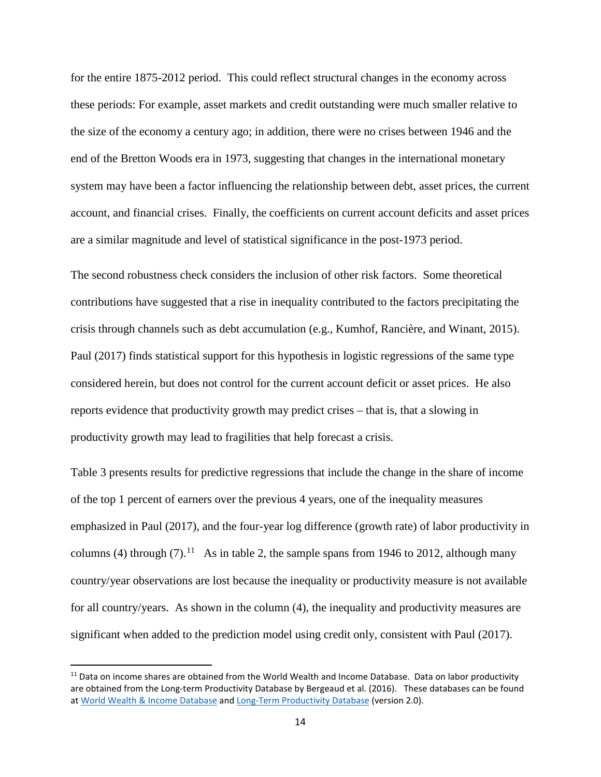for the entire 1875-2012 period. This could reflect structural changes in the economy across these periods: For example, asset markets and credit outstanding were much smaller relative to the size of the economy a century ago; in addition, there were no crises between 1946 and the end of the Bretton Woods era in 1973, suggesting that changes in the international monetary system may have been a factor influencing the relationship between debt, asset prices, the current account, and financial crises. Finally, the coefficients on current account deficits and asset prices are a similar magnitude and level of statistical significance in the post-1973 period.

The second robustness check considers the inclusion of other risk factors. Some theoretical contributions have suggested that a rise in inequality contributed to the factors precipitating the crisis through channels such as debt accumulation (e.g., Kumhof, Rancière, and Winant, 2015). Paul (2017) finds statistical support for this hypothesis in logistic regressions of the same type considered herein, but does not control for the current account deficit or asset prices. He also reports evidence that productivity growth may predict crises – that is, that a slowing in productivity growth may lead to fragilities that help forecast a crisis.

Table 3 presents results for predictive regressions that include the change in the share of income of the top 1 percent of earners over the previous 4 years, one of the inequality measures emphasized in Paul (2017), and the four-year log difference (growth rate) of labor productivity in columns (4) through (7).<sup>11</sup> As in table 2, the sample spans from 1946 to 2012, although many country/year observations are lost because the inequality or productivity measure is not available for all country/years. As shown in the column (4), the inequality and productivity measures are significant when added to the prediction model using credit only, consistent with Paul (2017).

<span id="page-15-0"></span><sup>&</sup>lt;sup>11</sup> Data on income shares are obtained from the World Wealth and Income Database. Data on labor productivity are obtained from the Long-term Productivity Database by Bergeaud et al. (2016). These databases can be found a[t World Wealth & Income Database](http://wid.world/) and [Long-Term Productivity Database](http://longtermproductivity.com/download.html) (version 2.0).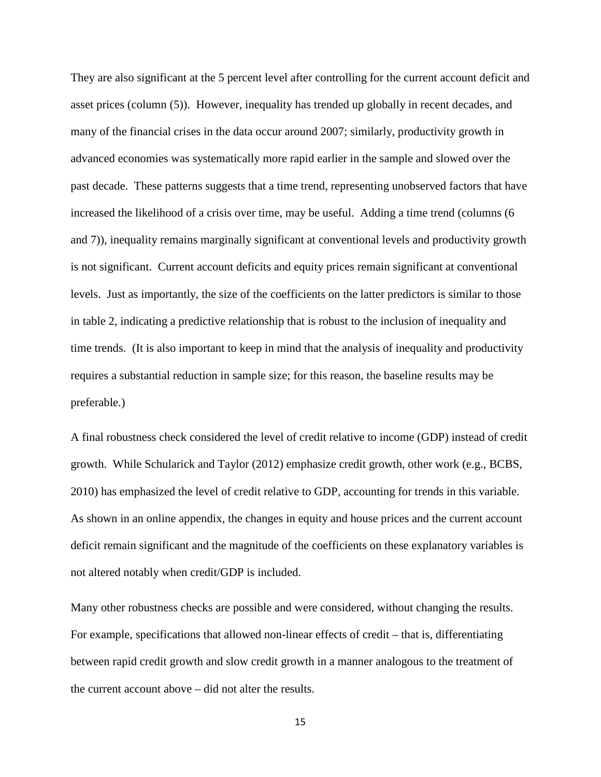They are also significant at the 5 percent level after controlling for the current account deficit and asset prices (column (5)). However, inequality has trended up globally in recent decades, and many of the financial crises in the data occur around 2007; similarly, productivity growth in advanced economies was systematically more rapid earlier in the sample and slowed over the past decade. These patterns suggests that a time trend, representing unobserved factors that have increased the likelihood of a crisis over time, may be useful. Adding a time trend (columns (6 and 7)), inequality remains marginally significant at conventional levels and productivity growth is not significant. Current account deficits and equity prices remain significant at conventional levels. Just as importantly, the size of the coefficients on the latter predictors is similar to those in table 2, indicating a predictive relationship that is robust to the inclusion of inequality and time trends. (It is also important to keep in mind that the analysis of inequality and productivity requires a substantial reduction in sample size; for this reason, the baseline results may be preferable.)

A final robustness check considered the level of credit relative to income (GDP) instead of credit growth. While Schularick and Taylor (2012) emphasize credit growth, other work (e.g., BCBS, 2010) has emphasized the level of credit relative to GDP, accounting for trends in this variable. As shown in an online appendix, the changes in equity and house prices and the current account deficit remain significant and the magnitude of the coefficients on these explanatory variables is not altered notably when credit/GDP is included.

Many other robustness checks are possible and were considered, without changing the results. For example, specifications that allowed non-linear effects of credit – that is, differentiating between rapid credit growth and slow credit growth in a manner analogous to the treatment of the current account above – did not alter the results.

15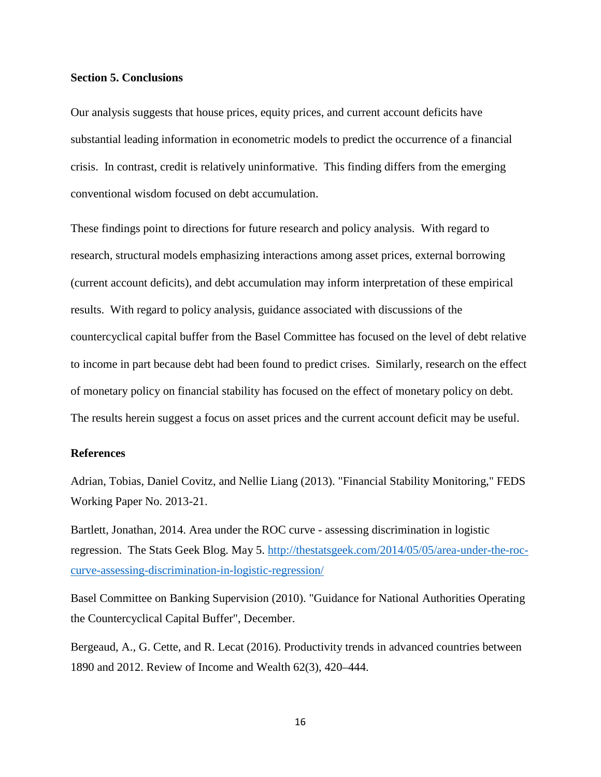#### **Section 5. Conclusions**

Our analysis suggests that house prices, equity prices, and current account deficits have substantial leading information in econometric models to predict the occurrence of a financial crisis. In contrast, credit is relatively uninformative. This finding differs from the emerging conventional wisdom focused on debt accumulation.

These findings point to directions for future research and policy analysis. With regard to research, structural models emphasizing interactions among asset prices, external borrowing (current account deficits), and debt accumulation may inform interpretation of these empirical results. With regard to policy analysis, guidance associated with discussions of the countercyclical capital buffer from the Basel Committee has focused on the level of debt relative to income in part because debt had been found to predict crises. Similarly, research on the effect of monetary policy on financial stability has focused on the effect of monetary policy on debt. The results herein suggest a focus on asset prices and the current account deficit may be useful.

#### **References**

Adrian, Tobias, Daniel Covitz, and Nellie Liang (2013). "Financial Stability Monitoring," FEDS Working Paper No. 2013-21.

Bartlett, Jonathan, 2014. Area under the ROC curve - assessing discrimination in logistic regression. The Stats Geek Blog. May 5. [http://thestatsgeek.com/2014/05/05/area-under-the-roc](http://thestatsgeek.com/2014/05/05/area-under-the-roc-curve-assessing-discrimination-in-logistic-regression/)[curve-assessing-discrimination-in-logistic-regression/](http://thestatsgeek.com/2014/05/05/area-under-the-roc-curve-assessing-discrimination-in-logistic-regression/)

Basel Committee on Banking Supervision (2010). "Guidance for National Authorities Operating the Countercyclical Capital Buffer", December.

Bergeaud, A., G. Cette, and R. Lecat (2016). Productivity trends in advanced countries between 1890 and 2012. Review of Income and Wealth 62(3), 420–444.

16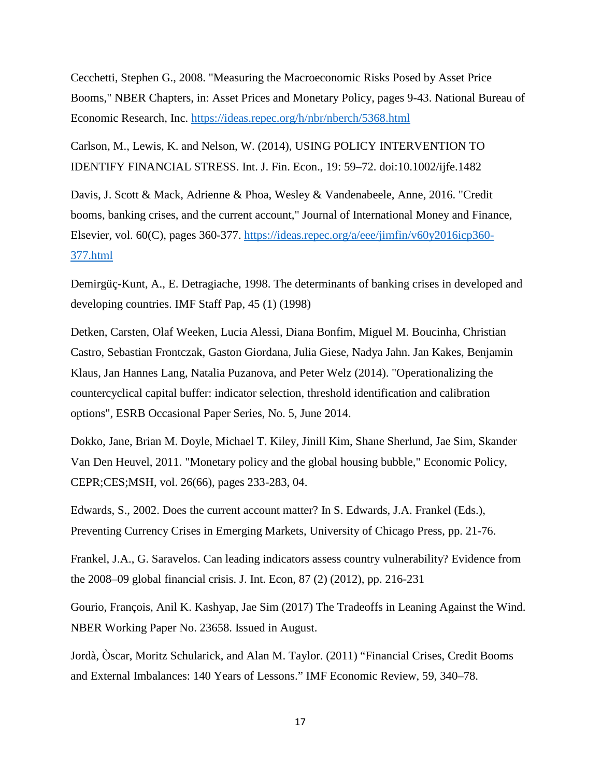Cecchetti, Stephen G., 2008. "Measuring the Macroeconomic Risks Posed by Asset Price Booms," NBER Chapters, in: Asset Prices and Monetary Policy, pages 9-43. National Bureau of Economic Research, Inc. <https://ideas.repec.org/h/nbr/nberch/5368.html>

Carlson, M., Lewis, K. and Nelson, W. (2014), USING POLICY INTERVENTION TO IDENTIFY FINANCIAL STRESS. Int. J. Fin. Econ., 19: 59–72. doi:10.1002/ijfe.1482

Davis, J. Scott & Mack, Adrienne & Phoa, Wesley & Vandenabeele, Anne, 2016. "Credit booms, banking crises, and the current account," Journal of International Money and Finance, Elsevier, vol. 60(C), pages 360-377. [https://ideas.repec.org/a/eee/jimfin/v60y2016icp360-](https://ideas.repec.org/a/eee/jimfin/v60y2016icp360-377.html) [377.html](https://ideas.repec.org/a/eee/jimfin/v60y2016icp360-377.html)

Demirgüç-Kunt, A., E. Detragiache, 1998. The determinants of banking crises in developed and developing countries. IMF Staff Pap, 45 (1) (1998)

Detken, Carsten, Olaf Weeken, Lucia Alessi, Diana Bonfim, Miguel M. Boucinha, Christian Castro, Sebastian Frontczak, Gaston Giordana, Julia Giese, Nadya Jahn. Jan Kakes, Benjamin Klaus, Jan Hannes Lang, Natalia Puzanova, and Peter Welz (2014). "Operationalizing the countercyclical capital buffer: indicator selection, threshold identification and calibration options", ESRB Occasional Paper Series, No. 5, June 2014.

Dokko, Jane, Brian M. Doyle, Michael T. Kiley, Jinill Kim, Shane Sherlund, Jae Sim, Skander Van Den Heuvel, 2011. "Monetary policy and the global housing bubble," Economic Policy, CEPR;CES;MSH, vol. 26(66), pages 233-283, 04.

Edwards, S., 2002. Does the current account matter? In S. Edwards, J.A. Frankel (Eds.), Preventing Currency Crises in Emerging Markets, University of Chicago Press, pp. 21-76.

Frankel, J.A., G. Saravelos. Can leading indicators assess country vulnerability? Evidence from the 2008–09 global financial crisis. J. Int. Econ, 87 (2) (2012), pp. 216-231

Gourio, François, Anil K. Kashyap, Jae Sim (2017) The Tradeoffs in Leaning Against the Wind. NBER Working Paper No. 23658. Issued in August.

Jordà, Òscar, Moritz Schularick, and Alan M. Taylor. (2011) "Financial Crises, Credit Booms and External Imbalances: 140 Years of Lessons." IMF Economic Review, 59, 340–78.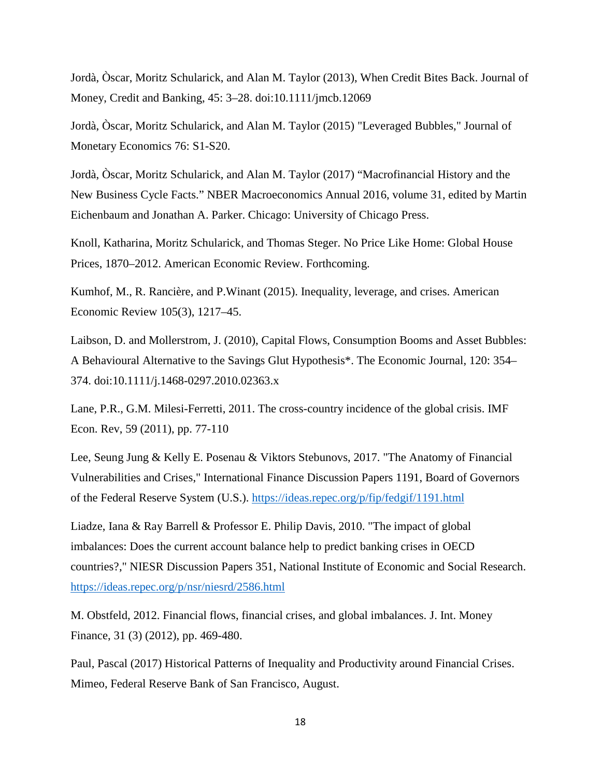Jordà, Òscar, Moritz Schularick, and Alan M. Taylor (2013), When Credit Bites Back. Journal of Money, Credit and Banking, 45: 3–28. doi:10.1111/jmcb.12069

Jordà, Òscar, Moritz Schularick, and Alan M. Taylor (2015) "Leveraged Bubbles," Journal of Monetary Economics 76: S1-S20.

Jordà, Òscar, Moritz Schularick, and Alan M. Taylor (2017) "Macrofinancial History and the New Business Cycle Facts." NBER Macroeconomics Annual 2016, volume 31, edited by Martin Eichenbaum and Jonathan A. Parker. Chicago: University of Chicago Press.

Knoll, Katharina, Moritz Schularick, and Thomas Steger. No Price Like Home: Global House Prices, 1870–2012. American Economic Review. Forthcoming.

Kumhof, M., R. Rancière, and P.Winant (2015). Inequality, leverage, and crises. American Economic Review 105(3), 1217–45.

Laibson, D. and Mollerstrom, J. (2010), Capital Flows, Consumption Booms and Asset Bubbles: A Behavioural Alternative to the Savings Glut Hypothesis\*. The Economic Journal, 120: 354– 374. doi:10.1111/j.1468-0297.2010.02363.x

Lane, P.R., G.M. Milesi-Ferretti, 2011. The cross-country incidence of the global crisis. IMF Econ. Rev, 59 (2011), pp. 77-110

Lee, Seung Jung & Kelly E. Posenau & Viktors Stebunovs, 2017. "The Anatomy of Financial Vulnerabilities and Crises," International Finance Discussion Papers 1191, Board of Governors of the Federal Reserve System (U.S.). <https://ideas.repec.org/p/fip/fedgif/1191.html>

Liadze, Iana & Ray Barrell & Professor E. Philip Davis, 2010. "The impact of global imbalances: Does the current account balance help to predict banking crises in OECD countries?," NIESR Discussion Papers 351, National Institute of Economic and Social Research. <https://ideas.repec.org/p/nsr/niesrd/2586.html>

M. Obstfeld, 2012. Financial flows, financial crises, and global imbalances. J. Int. Money Finance, 31 (3) (2012), pp. 469-480.

Paul, Pascal (2017) Historical Patterns of Inequality and Productivity around Financial Crises. Mimeo, Federal Reserve Bank of San Francisco, August.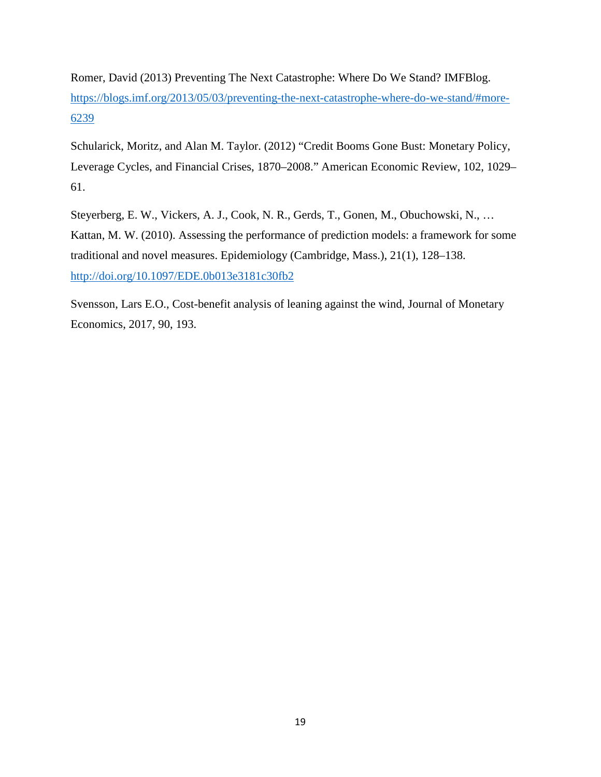Romer, David (2013) Preventing The Next Catastrophe: Where Do We Stand? IMFBlog. [https://blogs.imf.org/2013/05/03/preventing-the-next-catastrophe-where-do-we-stand/#more-](https://blogs.imf.org/2013/05/03/preventing-the-next-catastrophe-where-do-we-stand/#more-6239)[6239](https://blogs.imf.org/2013/05/03/preventing-the-next-catastrophe-where-do-we-stand/#more-6239)

Schularick, Moritz, and Alan M. Taylor. (2012) "Credit Booms Gone Bust: Monetary Policy, Leverage Cycles, and Financial Crises, 1870–2008." American Economic Review, 102, 1029– 61.

Steyerberg, E. W., Vickers, A. J., Cook, N. R., Gerds, T., Gonen, M., Obuchowski, N., … Kattan, M. W. (2010). Assessing the performance of prediction models: a framework for some traditional and novel measures. Epidemiology (Cambridge, Mass.), 21(1), 128–138. <http://doi.org/10.1097/EDE.0b013e3181c30fb2>

Svensson, Lars E.O., Cost-benefit analysis of leaning against the wind, Journal of Monetary Economics, 2017, 90, 193.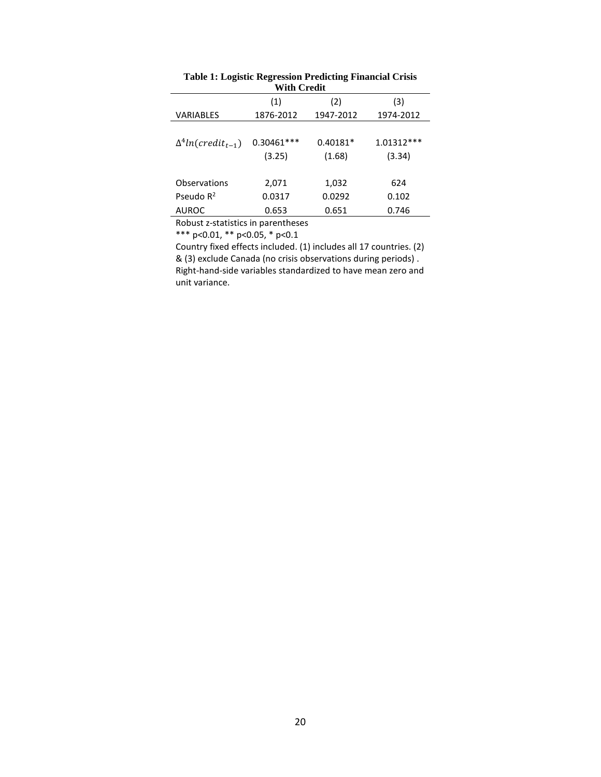| vvitir Urtun                |                        |                      |                        |  |  |  |  |
|-----------------------------|------------------------|----------------------|------------------------|--|--|--|--|
|                             | (1)                    | (2)                  | (3)                    |  |  |  |  |
| <b>VARIABLES</b>            | 1876-2012              | 1947-2012            | 1974-2012              |  |  |  |  |
| $\Delta^4 ln(credit_{t-1})$ | $0.30461***$<br>(3.25) | $0.40181*$<br>(1.68) | $1.01312***$<br>(3.34) |  |  |  |  |
| Observations                | 2,071                  | 1,032                | 624                    |  |  |  |  |
| Pseudo $R^2$                | 0.0317                 | 0.0292               | 0.102                  |  |  |  |  |
| <b>AUROC</b>                | 0.653                  | 0.651                | 0.746                  |  |  |  |  |
|                             |                        |                      |                        |  |  |  |  |

**Table 1: Logistic Regression Predicting Financial Crisis With Credit**

Robust z-statistics in parentheses

\*\*\* p<0.01, \*\* p<0.05, \* p<0.1

Country fixed effects included. (1) includes all 17 countries. (2) & (3) exclude Canada (no crisis observations during periods) . Right-hand-side variables standardized to have mean zero and unit variance.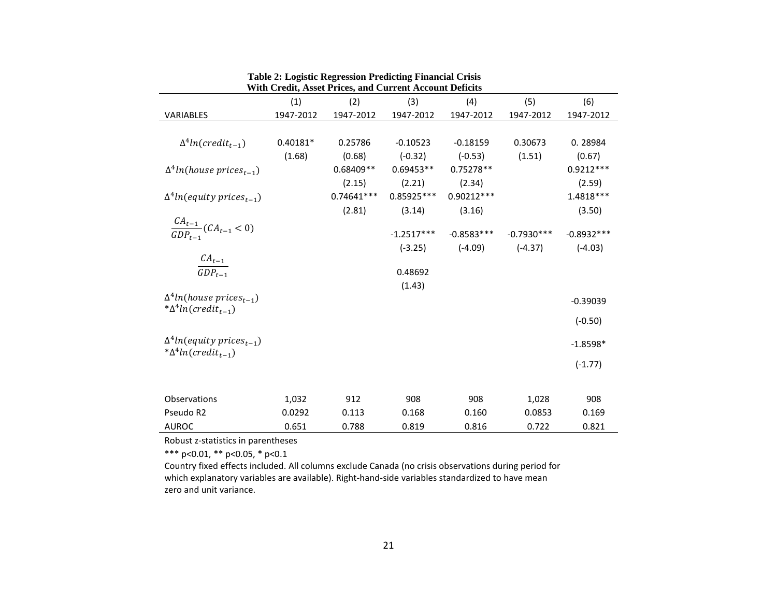| <b>With Credit, Asset Prices, and Current Account Deficits</b> |            |              |              |              |              |              |  |
|----------------------------------------------------------------|------------|--------------|--------------|--------------|--------------|--------------|--|
|                                                                | (1)        | (2)          | (3)          | (4)          | (5)          | (6)          |  |
| <b>VARIABLES</b>                                               | 1947-2012  | 1947-2012    | 1947-2012    | 1947-2012    | 1947-2012    | 1947-2012    |  |
|                                                                |            |              |              |              |              |              |  |
| $\Delta^4 ln(credit_{t-1})$                                    | $0.40181*$ | 0.25786      | $-0.10523$   | $-0.18159$   | 0.30673      | 0.28984      |  |
|                                                                | (1.68)     | (0.68)       | $(-0.32)$    | $(-0.53)$    | (1.51)       | (0.67)       |  |
| $\Delta^4$ ln(house prices <sub>t-1</sub> )                    |            | $0.68409**$  | $0.69453**$  | $0.75278**$  |              | $0.9212***$  |  |
|                                                                |            | (2.15)       | (2.21)       | (2.34)       |              | (2.59)       |  |
| $\Delta^4$ ln(equity prices <sub>t-1</sub> )                   |            | $0.74641***$ | 0.85925 ***  | $0.90212***$ |              | 1.4818***    |  |
|                                                                |            | (2.81)       | (3.14)       | (3.16)       |              | (3.50)       |  |
| $\frac{CA_{t-1}}{GDP_{t-1}}(CA_{t-1}<0)$                       |            |              |              |              |              |              |  |
|                                                                |            |              | $-1.2517***$ | $-0.8583***$ | $-0.7930***$ | $-0.8932***$ |  |
|                                                                |            |              | $(-3.25)$    | $(-4.09)$    | $(-4.37)$    | $(-4.03)$    |  |
| $\frac{CA_{t-1}}{GDP_{t-1}}$                                   |            |              | 0.48692      |              |              |              |  |
|                                                                |            |              | (1.43)       |              |              |              |  |
| $\Delta^4$ ln(house prices <sub>t-1</sub> )                    |            |              |              |              |              |              |  |
| $*\Delta^4 ln(credit_{t-1})$                                   |            |              |              |              |              | $-0.39039$   |  |
|                                                                |            |              |              |              |              | $(-0.50)$    |  |
| $\Delta^4$ ln(equity prices <sub>t-1</sub> )                   |            |              |              |              |              |              |  |
| $*\Delta^4 ln(credit_{t-1})$                                   |            |              |              |              |              | $-1.8598*$   |  |
|                                                                |            |              |              |              |              | $(-1.77)$    |  |
|                                                                |            |              |              |              |              |              |  |
|                                                                |            |              |              |              |              |              |  |
| Observations                                                   | 1,032      | 912          | 908          | 908          | 1,028        | 908          |  |
| Pseudo R2                                                      | 0.0292     | 0.113        | 0.168        | 0.160        | 0.0853       | 0.169        |  |
| <b>AUROC</b>                                                   | 0.651      | 0.788        | 0.819        | 0.816        | 0.722        | 0.821        |  |

|  |  | Table 2: Logistic Regression Predicting Financial Crisis                                                                                                                                                                                                                                                                 |
|--|--|--------------------------------------------------------------------------------------------------------------------------------------------------------------------------------------------------------------------------------------------------------------------------------------------------------------------------|
|  |  | $\mathbf{W}^{n+1}$ . $\mathbf{C}_{n+1}$ , $\mathbf{C}_{n+1}$ , $\mathbf{C}_{n+1}$ , $\mathbf{D}_{n+1}$ , $\mathbf{C}_{n+1}$ , $\mathbf{D}_{n+1}$ , $\mathbf{C}_{n+1}$ , $\mathbf{D}_{n+1}$ , $\mathbf{C}_{n+1}$ , $\mathbf{D}_{n+1}$ , $\mathbf{C}_{n+1}$ , $\mathbf{D}_{n+1}$ , $\mathbf{D}_{n+1}$ , $\mathbf{D}_{n+1}$ |

Robust z-statistics in parentheses

\*\*\* p<0.01, \*\* p<0.05, \* p<0.1

Country fixed effects included. All columns exclude Canada (no crisis observations during period for which explanatory variables are available). Right-hand-side variables standardized to have mean zero and unit variance.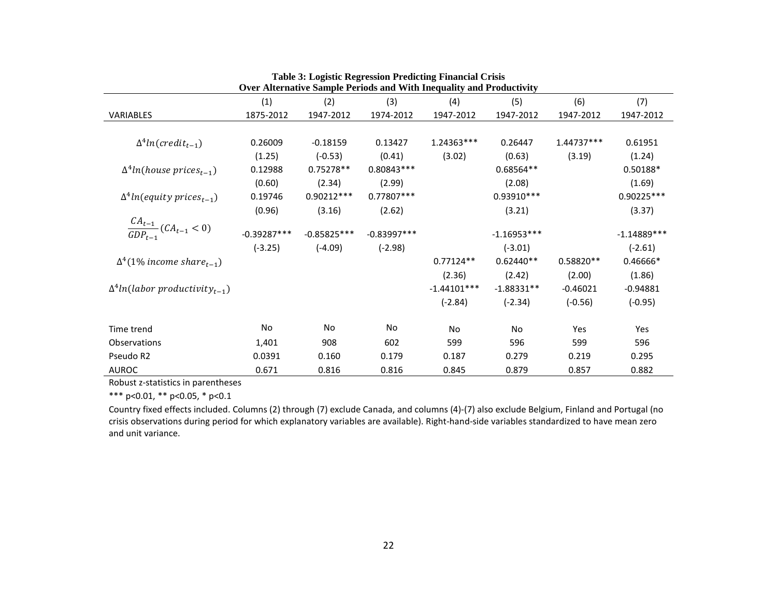|                                                   |               |               |               | Over Alternative Sample Periods and With Inequality and Productivity |               |             |               |
|---------------------------------------------------|---------------|---------------|---------------|----------------------------------------------------------------------|---------------|-------------|---------------|
|                                                   | (1)           | (2)           | (3)           | (4)                                                                  | (5)           | (6)         | (7)           |
| <b>VARIABLES</b>                                  | 1875-2012     | 1947-2012     | 1974-2012     | 1947-2012                                                            | 1947-2012     | 1947-2012   | 1947-2012     |
|                                                   |               |               |               |                                                                      |               |             |               |
| $\Delta^4 ln(credit_{t-1})$                       | 0.26009       | $-0.18159$    | 0.13427       | 1.24363***                                                           | 0.26447       | 1.44737***  | 0.61951       |
|                                                   | (1.25)        | $(-0.53)$     | (0.41)        | (3.02)                                                               | (0.63)        | (3.19)      | (1.24)        |
| $\Delta^4$ ln(house prices <sub>t-1</sub> )       | 0.12988       | $0.75278**$   | 0.80843 ***   |                                                                      | $0.68564**$   |             | 0.50188*      |
|                                                   | (0.60)        | (2.34)        | (2.99)        |                                                                      | (2.08)        |             | (1.69)        |
| $\Delta^4$ ln(equity prices <sub>t-1</sub> )      | 0.19746       | $0.90212***$  | 0.77807***    |                                                                      | 0.93910 ***   |             | 0.90225 ***   |
|                                                   | (0.96)        | (3.16)        | (2.62)        |                                                                      | (3.21)        |             | (3.37)        |
| $\frac{CA_{t-1}}{GDP_{t-1}}(CA_{t-1}<0)$          |               |               |               |                                                                      |               |             |               |
|                                                   | $-0.39287***$ | $-0.85825***$ | $-0.83997***$ |                                                                      | $-1.16953***$ |             | $-1.14889***$ |
|                                                   | $(-3.25)$     | $(-4.09)$     | $(-2.98)$     |                                                                      | $(-3.01)$     |             | $(-2.61)$     |
| $\Delta^4$ (1% income share <sub>t-1</sub> )      |               |               |               | $0.77124**$                                                          | $0.62440**$   | $0.58820**$ | 0.46666*      |
|                                                   |               |               |               | (2.36)                                                               | (2.42)        | (2.00)      | (1.86)        |
| $\Delta^4$ ln(labor productivity <sub>t-1</sub> ) |               |               |               | $-1.44101***$                                                        | $-1.88331**$  | $-0.46021$  | $-0.94881$    |
|                                                   |               |               |               | $(-2.84)$                                                            | $(-2.34)$     | $(-0.56)$   | $(-0.95)$     |
| Time trend                                        | <b>No</b>     | <b>No</b>     | No            | No                                                                   | <b>No</b>     | Yes         | <b>Yes</b>    |
| Observations                                      |               | 908           | 602           | 599                                                                  | 596           | 599         | 596           |
|                                                   | 1,401         |               |               |                                                                      |               |             |               |
| Pseudo R2                                         | 0.0391        | 0.160         | 0.179         | 0.187                                                                | 0.279         | 0.219       | 0.295         |
| <b>AUROC</b>                                      | 0.671         | 0.816         | 0.816         | 0.845                                                                | 0.879         | 0.857       | 0.882         |

|  |  |  |  | <b>Table 3: Logistic Regression Predicting Financial Crisis</b> |  |  |
|--|--|--|--|-----------------------------------------------------------------|--|--|
|  |  |  |  |                                                                 |  |  |

Robust z-statistics in parentheses

\*\*\* p<0.01, \*\* p<0.05, \* p<0.1

Country fixed effects included. Columns (2) through (7) exclude Canada, and columns (4)-(7) also exclude Belgium, Finland and Portugal (no crisis observations during period for which explanatory variables are available). Right-hand-side variables standardized to have mean zero and unit variance.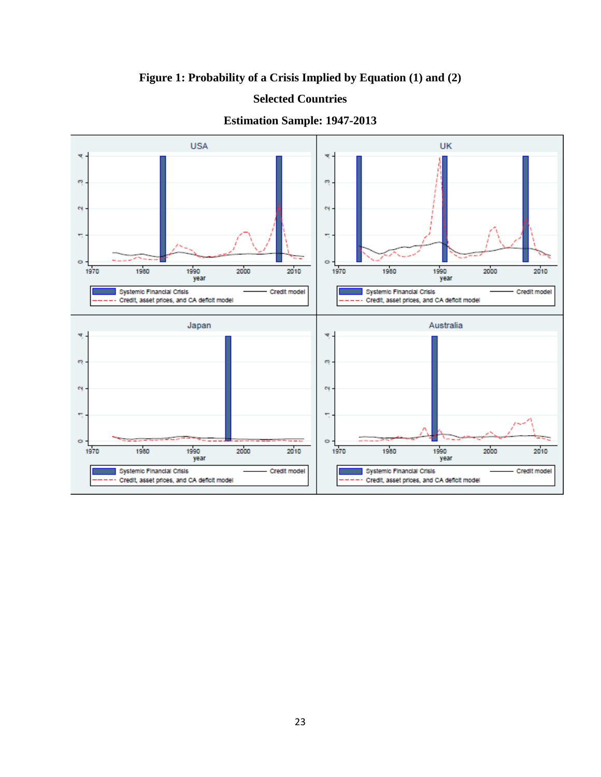**Figure 1: Probability of a Crisis Implied by Equation (1) and (2)**

## **Selected Countries**



## **Estimation Sample: 1947-2013**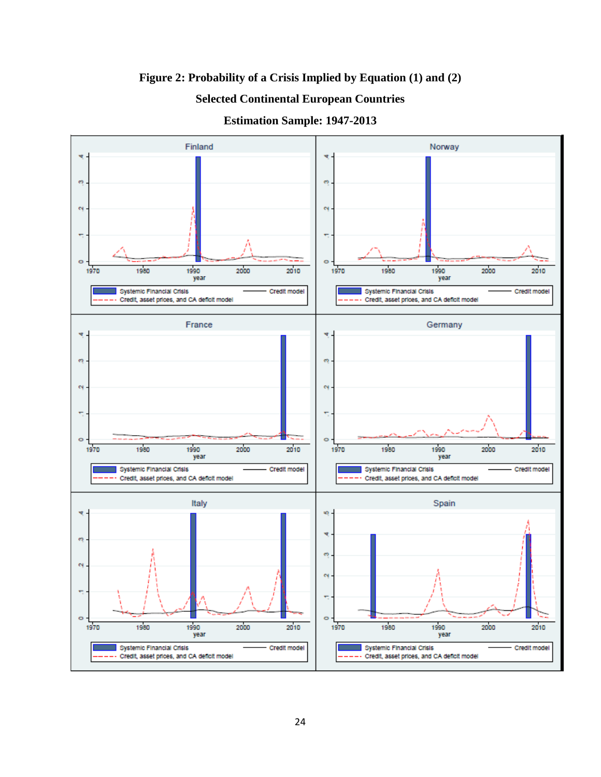**Figure 2: Probability of a Crisis Implied by Equation (1) and (2)**

# **Selected Continental European Countries**

**Estimation Sample: 1947-2013**

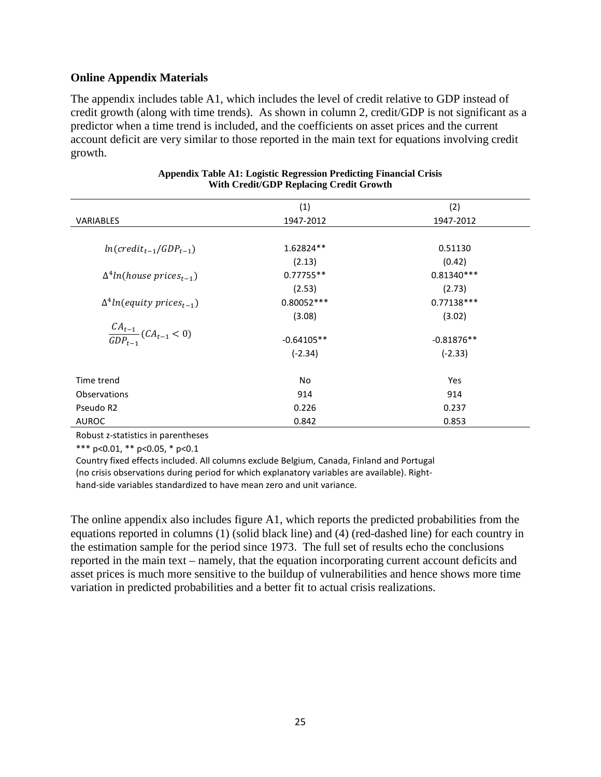### **Online Appendix Materials**

The appendix includes table A1, which includes the level of credit relative to GDP instead of credit growth (along with time trends). As shown in column 2, credit/GDP is not significant as a predictor when a time trend is included, and the coefficients on asset prices and the current account deficit are very similar to those reported in the main text for equations involving credit growth.

|                                              | (1)          | (2)          |
|----------------------------------------------|--------------|--------------|
| <b>VARIABLES</b>                             | 1947-2012    | 1947-2012    |
|                                              |              |              |
| $ln(credit_{t-1}/GDP_{t-1})$                 | 1.62824**    | 0.51130      |
|                                              | (2.13)       | (0.42)       |
| $\Delta^4$ ln(house prices <sub>t-1</sub> )  | $0.77755**$  | $0.81340***$ |
|                                              | (2.53)       | (2.73)       |
| $\Delta^4$ ln(equity prices <sub>t-1</sub> ) | $0.80052***$ | $0.77138***$ |
|                                              | (3.08)       | (3.02)       |
| $\frac{CA_{t-1}}{GDP_{t-1}}(CA_{t-1} < 0)$   |              |              |
|                                              | $-0.64105**$ | $-0.81876**$ |
|                                              | $(-2.34)$    | $(-2.33)$    |
|                                              |              |              |
| Time trend                                   | No           | Yes          |
| <b>Observations</b>                          | 914          | 914          |
| Pseudo R2                                    | 0.226        | 0.237        |
| <b>AUROC</b>                                 | 0.842        | 0.853        |

#### **Appendix Table A1: Logistic Regression Predicting Financial Crisis With Credit/GDP Replacing Credit Growth**

Robust z-statistics in parentheses

\*\*\* p<0.01, \*\* p<0.05, \* p<0.1

Country fixed effects included. All columns exclude Belgium, Canada, Finland and Portugal (no crisis observations during period for which explanatory variables are available). Righthand-side variables standardized to have mean zero and unit variance.

The online appendix also includes figure A1, which reports the predicted probabilities from the equations reported in columns (1) (solid black line) and (4) (red-dashed line) for each country in the estimation sample for the period since 1973. The full set of results echo the conclusions reported in the main text – namely, that the equation incorporating current account deficits and asset prices is much more sensitive to the buildup of vulnerabilities and hence shows more time variation in predicted probabilities and a better fit to actual crisis realizations.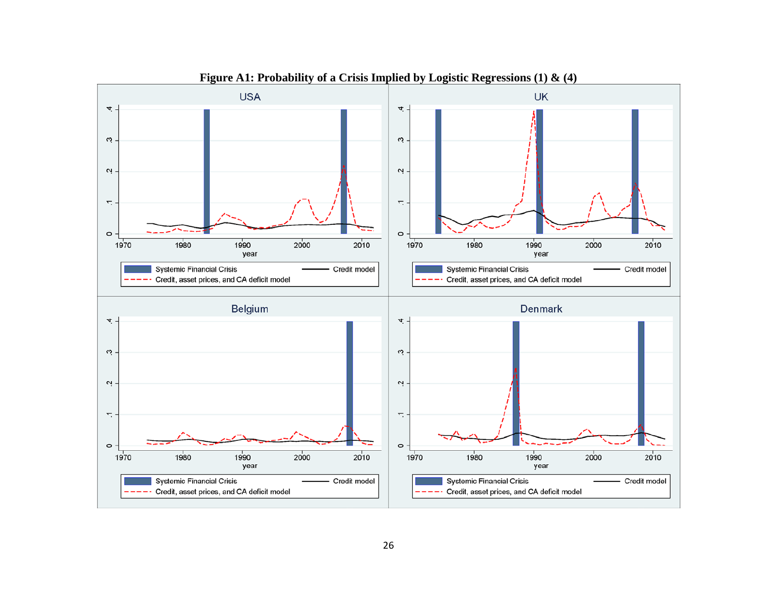

**Figure A1: Probability of a Crisis Implied by Logistic Regressions (1) & (4)**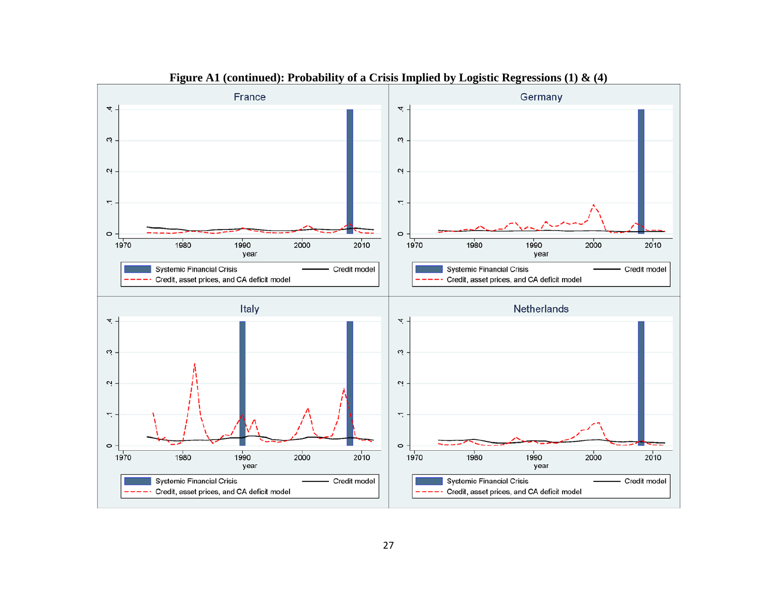

**Figure A1 (continued): Probability of a Crisis Implied by Logistic Regressions (1) & (4)**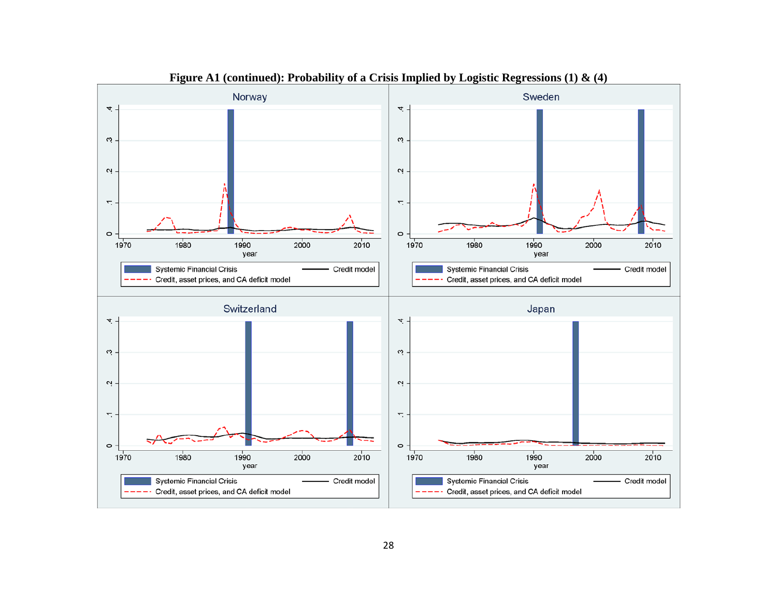

**Figure A1 (continued): Probability of a Crisis Implied by Logistic Regressions (1) & (4)**